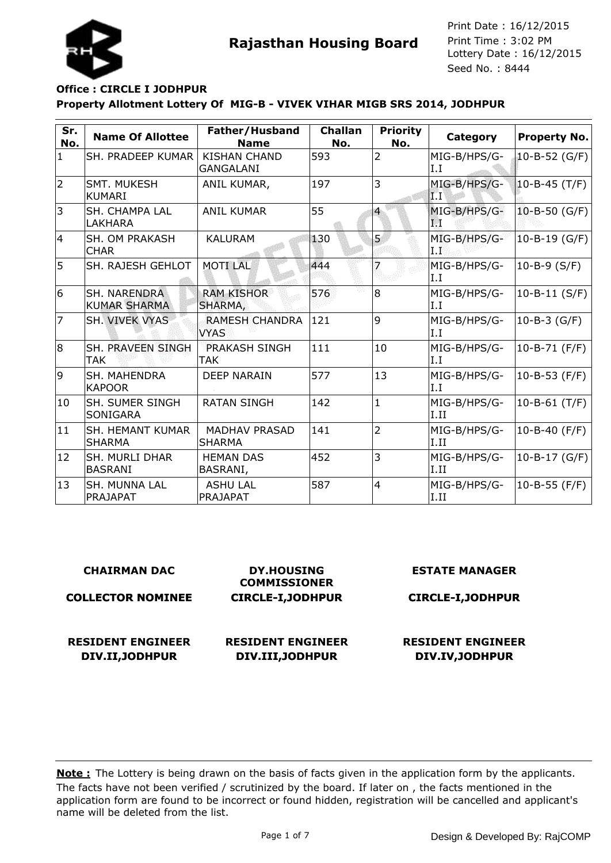

## **Property Allotment Lottery Of MIG-B - VIVEK VIHAR MIGB SRS 2014, JODHPUR Office : CIRCLE I JODHPUR**

| Sr.<br>No.     | <b>Name Of Allottee</b>                    | Father/Husband<br><b>Name</b>           | <b>Challan</b><br>No. | <b>Priority</b><br>No. | Category              | <b>Property No.</b> |
|----------------|--------------------------------------------|-----------------------------------------|-----------------------|------------------------|-----------------------|---------------------|
| $\mathbf{1}$   | SH. PRADEEP KUMAR                          | <b>KISHAN CHAND</b><br><b>GANGALANI</b> | 593                   | $\overline{2}$         | MIG-B/HPS/G-<br>I.I   | 10-B-52 (G/F)       |
| $\overline{2}$ | SMT. MUKESH<br><b>KUMARI</b>               | ANIL KUMAR,                             | 197                   | 3                      | MIG-B/HPS/G-<br>ÏТ    | $10 - B - 45$ (T/F) |
| 3              | SH. CHAMPA LAL<br>LAKHARA                  | <b>ANIL KUMAR</b>                       | 55                    | $\overline{4}$         | MIG-B/HPS/G-<br>TW.   | $10 - B - 50$ (G/F) |
| 14             | SH. OM PRAKASH<br><b>CHAR</b>              | <b>KALURAM</b>                          | 130                   | 5                      | MIG-B/HPS/G-<br>LI.   | $10 - B - 19$ (G/F) |
| 5              | <b>SH. RAJESH GEHLOT</b>                   | <b>MOTILAL</b>                          | 444                   |                        | MIG-B/HPS/G-<br>I.I   | 10-B-9 $(S/F)$      |
| 6              | <b>SH. NARENDRA</b><br><b>KUMAR SHARMA</b> | <b>RAM KISHOR</b><br>SHARMA,            | 576                   | 8                      | MIG-B/HPS/G-<br>II.I  | $10 - B - 11$ (S/F) |
| 7              | SH. VIVEK VYAS                             | <b>RAMESH CHANDRA</b><br><b>VYAS</b>    | 121                   | 9                      | MIG-B/HPS/G-<br>Ι.Ι   | 10-B-3 (G/F)        |
| 8              | SH. PRAVEEN SINGH<br><b>TAK</b>            | <b>PRAKASH SINGH</b><br>TAK             | 111                   | 10                     | MIG-B/HPS/G-<br>I.I   | $10 - B - 71$ (F/F) |
| 9              | SH. MAHENDRA<br><b>KAPOOR</b>              | <b>DEEP NARAIN</b>                      | 577                   | 13                     | MIG-B/HPS/G-<br>I.I   | 10-B-53 (F/F)       |
| 10             | SH. SUMER SINGH<br><b>SONIGARA</b>         | <b>RATAN SINGH</b>                      | 142                   | $\mathbf{1}$           | MIG-B/HPS/G-<br>II.II | $10 - B - 61$ (T/F) |
| 11             | <b>SH. HEMANT KUMAR</b><br><b>SHARMA</b>   | <b>MADHAV PRASAD</b><br><b>SHARMA</b>   | 141                   | $\overline{2}$         | MIG-B/HPS/G-<br>II.II | 10-B-40 $(F/F)$     |
| 12             | <b>SH. MURLI DHAR</b><br>BASRANI           | <b>HEMAN DAS</b><br>BASRANI,            | 452                   | 3                      | MIG-B/HPS/G-<br>II.II | $10 - B - 17$ (G/F) |
| 13             | SH. MUNNA LAL<br>PRAJAPAT                  | <b>ASHU LAL</b><br>PRAJAPAT             | 587                   | $\overline{4}$         | MIG-B/HPS/G-<br>I.II  | $10 - B - 55$ (F/F) |

#### **CHAIRMAN DAC COLLECTOR NOMINEE DY.HOUSING COMMISSIONER CIRCLE-I,JODHPUR ESTATE MANAGER CIRCLE-I,JODHPUR RESIDENT ENGINEER DIV.II,JODHPUR RESIDENT ENGINEER DIV.III,JODHPUR RESIDENT ENGINEER DIV.IV,JODHPUR**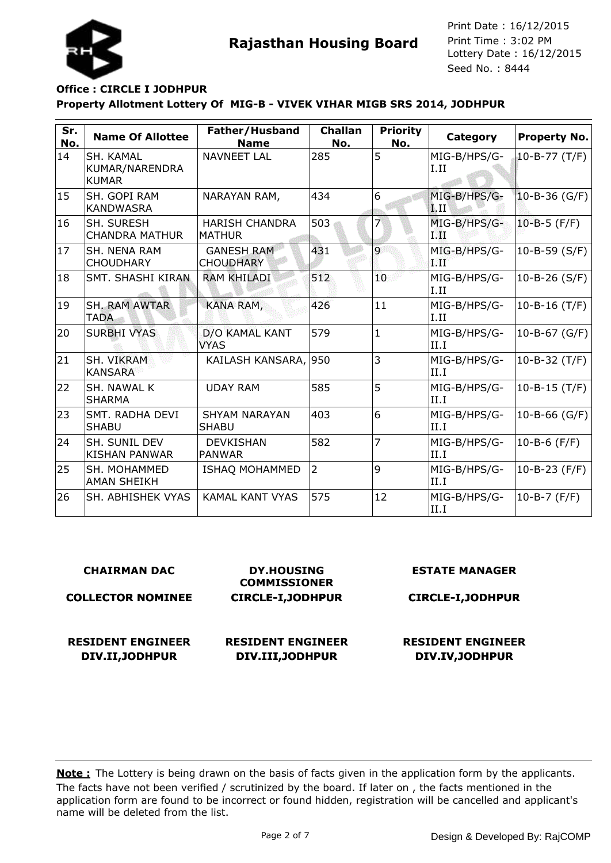

## **Property Allotment Lottery Of MIG-B - VIVEK VIHAR MIGB SRS 2014, JODHPUR Office : CIRCLE I JODHPUR**

| Sr.<br>No. | <b>Name Of Allottee</b>                            | Father/Husband<br><b>Name</b>          | <b>Challan</b><br>No. | <b>Priority</b><br>No. | Category              | <b>Property No.</b> |
|------------|----------------------------------------------------|----------------------------------------|-----------------------|------------------------|-----------------------|---------------------|
| 14         | <b>SH. KAMAL</b><br>KUMAR/NARENDRA<br><b>KUMAR</b> | <b>NAVNEET LAL</b>                     | 285                   | 5                      | MIG-B/HPS/G-<br>I.II  | $10 - B - 77$ (T/F) |
| 15         | SH. GOPI RAM<br><b>KANDWASRA</b>                   | NARAYAN RAM,                           | 434                   | 6                      | MIG-B/HPS/G-<br> I.II | 10-B-36 (G/F)       |
| 16         | SH. SURESH<br><b>CHANDRA MATHUR</b>                | <b>HARISH CHANDRA</b><br><b>MATHUR</b> | 503                   | 7                      | MIG-B/HPS/G-<br>TИ    | $10 - B - 5$ (F/F)  |
| 17         | <b>SH. NENA RAM</b><br><b>CHOUDHARY</b>            | <b>GANESH RAM</b><br><b>CHOUDHARY</b>  | 431                   | $\overline{9}$         | MIG-B/HPS/G-<br>9.TF  | 10-B-59 $(S/F)$     |
| 18         | <b>SMT. SHASHI KIRAN</b>                           | <b>RAM KHILADI</b>                     | 512                   | 10 <sub>1</sub>        | MIG-B/HPS/G-<br>II.II | $10 - B - 26$ (S/F) |
| 19         | <b>SH. RAM AWTAR</b><br><b>TADA</b>                | KANA RAM,                              | 426                   | 11                     | MIG-B/HPS/G-<br>II.II | $10 - B - 16$ (T/F) |
| 20         | <b>SURBHI VYAS</b>                                 | D/O KAMAL KANT<br><b>VYAS</b>          | 579                   | $\mathbf{1}$           | MIG-B/HPS/G-<br>II.I  | 10-B-67 (G/F)       |
| 21         | SH. VIKRAM<br><b>KANSARA</b>                       | KAILASH KANSARA, 950                   |                       | 3                      | MIG-B/HPS/G-<br>II.I  | 10-B-32 $(T/F)$     |
| 22         | <b>SH. NAWAL K</b><br><b>SHARMA</b>                | <b>UDAY RAM</b>                        | 585                   | 5                      | MIG-B/HPS/G-<br>II.I  | $10 - B - 15$ (T/F) |
| 23         | <b>SMT. RADHA DEVI</b><br><b>SHABU</b>             | <b>SHYAM NARAYAN</b><br><b>SHABU</b>   | 403                   | 6                      | MIG-B/HPS/G-<br>II.I  | 10-B-66 (G/F)       |
| 24         | <b>SH. SUNIL DEV</b><br><b>KISHAN PANWAR</b>       | <b>DEVKISHAN</b><br><b>PANWAR</b>      | 582                   | $\overline{7}$         | MIG-B/HPS/G-<br>II.I  | $10 - B - 6$ (F/F)  |
| 25         | <b>SH. MOHAMMED</b><br><b>AMAN SHEIKH</b>          | <b>ISHAQ MOHAMMED</b>                  | $\overline{2}$        | 9                      | MIG-B/HPS/G-<br>II.I  | 10-B-23 (F/F)       |
| 26         | SH. ABHISHEK VYAS                                  | <b>KAMAL KANT VYAS</b>                 | 575                   | 12                     | MIG-B/HPS/G-<br>II.I  | $10 - B - 7$ (F/F)  |

#### **CHAIRMAN DAC**

**COLLECTOR NOMINEE**

**DY.HOUSING COMMISSIONER CIRCLE-I,JODHPUR**

**RESIDENT ENGINEER DIV.II,JODHPUR**

**RESIDENT ENGINEER DIV.III,JODHPUR**

**ESTATE MANAGER**

**CIRCLE-I,JODHPUR**

**RESIDENT ENGINEER DIV.IV,JODHPUR**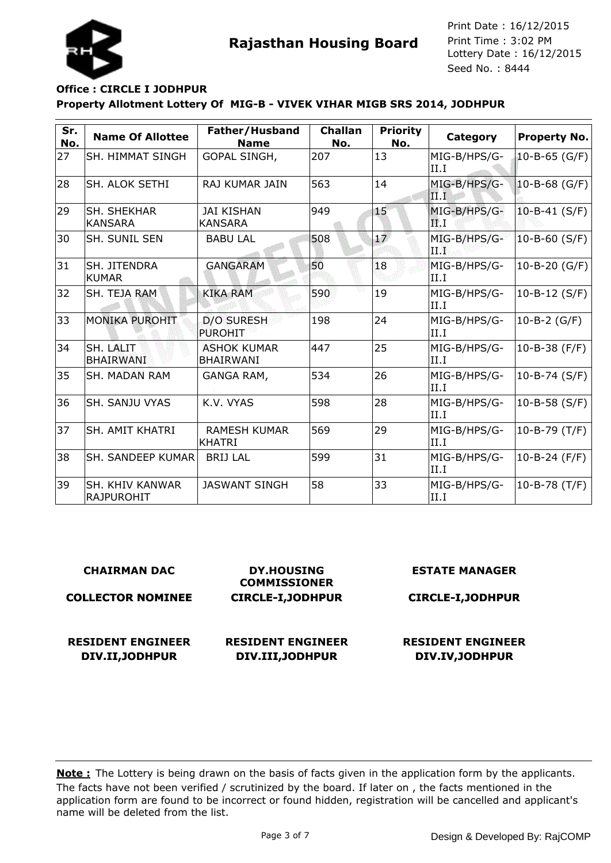

# **Property Allotment Lottery Of MIG-B - VIVEK VIHAR MIGB SRS 2014, JODHPUR Office : CIRCLE I JODHPUR**

| Sr.<br>No. | <b>Name Of Allottee</b>                     | Father/Husband<br><b>Name</b>          | <b>Challan</b><br>No. | <b>Priority</b><br>No. | Category                                 | <b>Property No.</b> |
|------------|---------------------------------------------|----------------------------------------|-----------------------|------------------------|------------------------------------------|---------------------|
| 27         | SH. HIMMAT SINGH                            | GOPAL SINGH,                           | 207                   | 13                     | MIG-B/HPS/G-<br>II.I                     | 10-B-65 (G/F)       |
| 28         | SH. ALOK SETHI                              | RAJ KUMAR JAIN                         | 563                   | 14                     | MIG-B/HPS/G-<br>$\mathbf{II}.\mathbf{I}$ | $10 - B - 68$ (G/F) |
| 29         | <b>SH. SHEKHAR</b><br><b>KANSARA</b>        | JAI KISHAN<br><b>KANSARA</b>           | 949                   | 15                     | MIG-B/HPS/G-<br>РĽ. I                    | $10 - B - 41$ (S/F) |
| 30         | SH. SUNIL SEN                               | <b>BABU LAL</b>                        | 508                   | $\overline{17}$        | MIG-B/HPS/G-<br>TT 95                    | $10 - B - 60$ (S/F) |
| 31         | SH. JITENDRA<br><b>KUMAR</b>                | <b>GANGARAM</b>                        | 50                    | 18                     | MIG-B/HPS/G-<br>II.I                     | 10-B-20 $(G/F)$     |
| 32         | SH. TEJA RAM                                | <b>KIKA RAM</b>                        | 590                   | 19                     | MIG-B/HPS/G-<br>II.I                     | 10-B-12 $(S/F)$     |
| 33         | <b>MONIKA PUROHIT</b>                       | <b>D/O SURESH</b><br><b>PUROHIT</b>    | 198                   | 24                     | MIG-B/HPS/G-<br>II.I                     | $10 - B - 2$ (G/F)  |
| 34         | SH. LALIT<br><b>BHAIRWANI</b>               | <b>ASHOK KUMAR</b><br><b>BHAIRWANI</b> | 447                   | 25                     | MIG-B/HPS/G-<br>II.I                     | 10-B-38 $(F/F)$     |
| 35         | <b>SH. MADAN RAM</b>                        | GANGA RAM,                             | 534                   | 26                     | MIG-B/HPS/G-<br>II.I                     | 10-B-74 (S/F)       |
| 36         | SH. SANJU VYAS                              | K.V. VYAS                              | 598                   | 28                     | MIG-B/HPS/G-<br>II.I                     | 10-B-58 $(S/F)$     |
| 37         | <b>SH. AMIT KHATRI</b>                      | <b>RAMESH KUMAR</b><br><b>KHATRI</b>   | 569                   | 29                     | MIG-B/HPS/G-<br>II.I                     | 10-B-79 (T/F)       |
| 38         | SH. SANDEEP KUMAR                           | <b>BRIJ LAL</b>                        | 599                   | 31                     | MIG-B/HPS/G-<br>II.I                     | 10-B-24 $(F/F)$     |
| 39         | <b>SH. KHIV KANWAR</b><br><b>RAJPUROHIT</b> | <b>JASWANT SINGH</b>                   | 58                    | 33                     | MIG-B/HPS/G-<br>II.I                     | $10 - B - 78$ (T/F) |

| <b>CHAIRMAN DAC</b>                         | <b>DY.HOUSING</b><br><b>COMMISSIONER</b>     | <b>ESTATE MANAGER</b>                       |
|---------------------------------------------|----------------------------------------------|---------------------------------------------|
| <b>COLLECTOR NOMINEE</b>                    | <b>CIRCLE-I, JODHPUR</b>                     | <b>CIRCLE-I, JODHPUR</b>                    |
| <b>RESIDENT ENGINEER</b><br>DIV.II, JODHPUR | <b>RESIDENT ENGINEER</b><br>DIV.III, JODHPUR | <b>RESIDENT ENGINEER</b><br>DIV.IV, JODHPUR |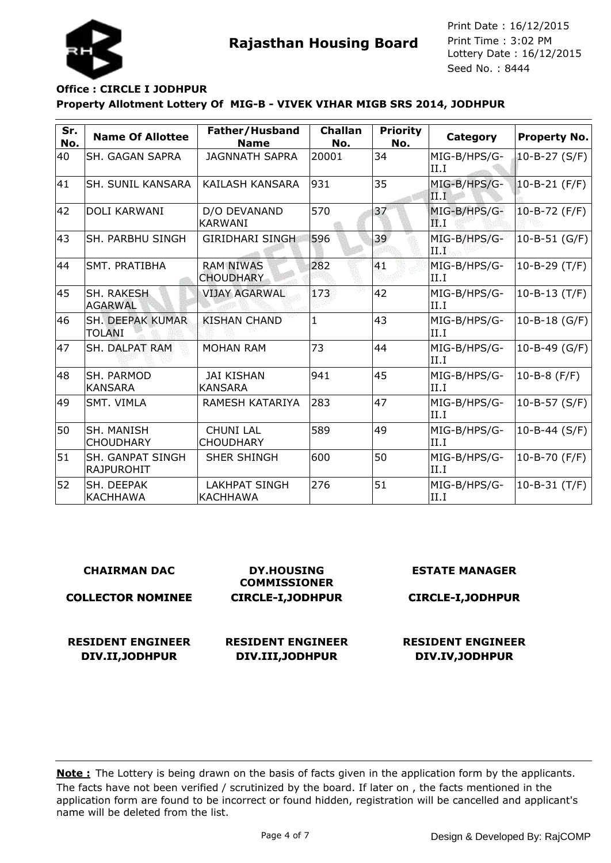

# **Property Allotment Lottery Of MIG-B - VIVEK VIHAR MIGB SRS 2014, JODHPUR Office : CIRCLE I JODHPUR**

| Sr.<br>No. | <b>Name Of Allottee</b>                      | Father/Husband<br><b>Name</b>        | <b>Challan</b><br>No. | <b>Priority</b><br>No. | Category                                 | Property No.        |
|------------|----------------------------------------------|--------------------------------------|-----------------------|------------------------|------------------------------------------|---------------------|
| 40         | <b>SH. GAGAN SAPRA</b>                       | <b>JAGNNATH SAPRA</b>                | 20001                 | 34                     | MIG-B/HPS/G-<br>II.I                     | 10-B-27 $(S/F)$     |
| 41         | <b>SH. SUNIL KANSARA</b>                     | KAILASH KANSARA                      | 931                   | 35                     | MIG-B/HPS/G-<br>$\mathbf{II}.\mathbf{I}$ | 10-B-21 (F/F)       |
| 42         | <b>DOLI KARWANI</b>                          | D/O DEVANAND<br><b>KARWANI</b>       | 570                   | 37                     | MIG-B/HPS/G-<br>FP. I                    | $10 - B - 72$ (F/F) |
| 43         | <b>SH. PARBHU SINGH</b>                      | <b>GIRIDHARI SINGH</b>               | 596                   | 39                     | MIG-B/HPS/G-<br>1.14                     | $10 - B - 51$ (G/F) |
| 44         | SMT. PRATIBHA                                | <b>RAM NIWAS</b><br><b>CHOUDHARY</b> | 282                   | 41                     | MIG-B/HPS/G-<br>II.I                     | 10-B-29 (T/F)       |
| 45         | SH. RAKESH<br><b>AGARWAL</b>                 | <b>VIJAY AGARWAL</b>                 | 173                   | 42                     | MIG-B/HPS/G-<br>II.I                     | $10 - B - 13$ (T/F) |
| 46         | <b>SH. DEEPAK KUMAR</b><br><b>TOLANI</b>     | <b>KISHAN CHAND</b>                  | 1                     | 43                     | MIG-B/HPS/G-<br>III.I                    | 10-B-18 $(G/F)$     |
| 47         | <b>SH. DALPAT RAM</b>                        | <b>MOHAN RAM</b>                     | 73                    | 44                     | MIG-B/HPS/G-<br>II.I                     | 10-B-49 (G/F)       |
| 48         | <b>SH. PARMOD</b><br><b>KANSARA</b>          | <b>JAI KISHAN</b><br><b>KANSARA</b>  | 941                   | 45                     | MIG-B/HPS/G-<br>II.I                     | 10-B-8 $(F/F)$      |
| 49         | SMT. VIMLA                                   | RAMESH KATARIYA                      | 283                   | 47                     | MIG-B/HPS/G-<br>II.I                     | 10-B-57 (S/F)       |
| 50         | <b>SH. MANISH</b><br><b>CHOUDHARY</b>        | <b>CHUNI LAL</b><br><b>CHOUDHARY</b> | 589                   | 49                     | MIG-B/HPS/G-<br>II.I                     | 10-B-44 (S/F)       |
| 51         | <b>SH. GANPAT SINGH</b><br><b>RAJPUROHIT</b> | <b>SHER SHINGH</b>                   | 600                   | 50                     | MIG-B/HPS/G-<br>III.I                    | $10 - B - 70$ (F/F) |
| 52         | SH. DEEPAK<br><b>KACHHAWA</b>                | <b>LAKHPAT SINGH</b><br>KACHHAWA     | 276                   | 51                     | MIG-B/HPS/G-<br>II.I                     | $10 - B - 31$ (T/F) |

| <b>CHAIRMAN DAC</b>                         | <b>DY.HOUSING</b><br><b>COMMISSIONER</b>     | <b>ESTATE MANAGER</b>                       |
|---------------------------------------------|----------------------------------------------|---------------------------------------------|
| <b>COLLECTOR NOMINEE</b>                    | <b>CIRCLE-I, JODHPUR</b>                     | <b>CIRCLE-I, JODHPUR</b>                    |
| <b>RESIDENT ENGINEER</b><br>DIV.II, JODHPUR | <b>RESIDENT ENGINEER</b><br>DIV.III, JODHPUR | <b>RESIDENT ENGINEER</b><br>DIV.IV, JODHPUR |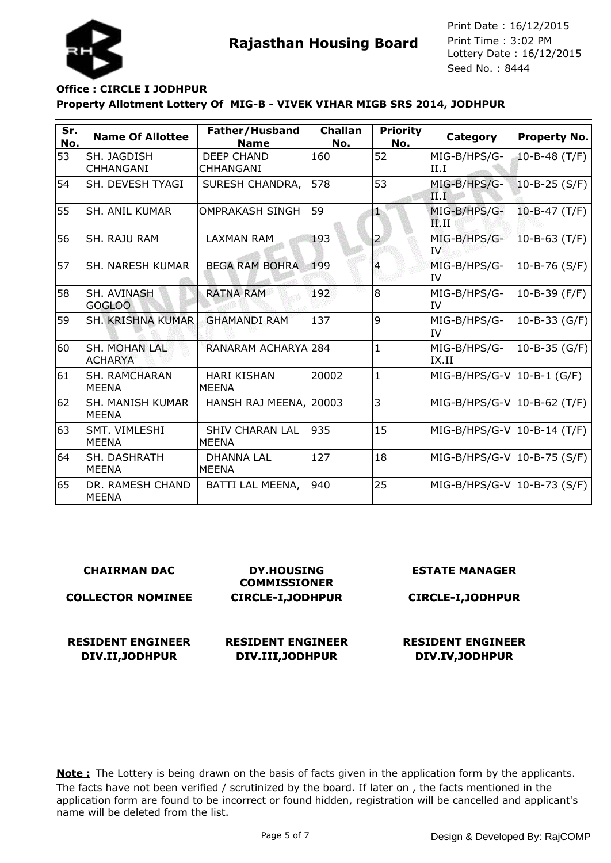



#### **Property Allotment Lottery Of MIG-B - VIVEK VIHAR MIGB SRS 2014, JODHPUR Office : CIRCLE I JODHPUR**

| Sr.<br>No. | <b>Name Of Allottee</b>                | Father/Husband<br><b>Name</b>          | <b>Challan</b><br>No. | <b>Priority</b><br>No. | Category                                | Property No.        |
|------------|----------------------------------------|----------------------------------------|-----------------------|------------------------|-----------------------------------------|---------------------|
| 53         | SH. JAGDISH<br><b>CHHANGANI</b>        | <b>DEEP CHAND</b><br><b>CHHANGANI</b>  | 160                   | 52                     | MIG-B/HPS/G-<br>II.I                    | 10-B-48 $(T/F)$     |
| 54         | SH. DEVESH TYAGI                       | <b>SURESH CHANDRA,</b>                 | 578                   | 53                     | MIG-B/HPS/G-<br>III.I                   | $10 - B - 25 (S/F)$ |
| 55         | <b>SH. ANIL KUMAR</b>                  | <b>OMPRAKASH SINGH</b>                 | 59                    | th,                    | MIG-B/HPS/G-<br>$\mathbf{F}.\mathbf{H}$ | $10 - B - 47$ (T/F) |
| 56         | SH. RAJU RAM                           | <b>LAXMAN RAM</b>                      | 193                   | $\overline{2}$         | MIG-B/HPS/G-<br>IV                      | $10 - B - 63$ (T/F) |
| 57         | <b>SH. NARESH KUMAR</b>                | <b>BEGA RAM BOHRA</b>                  | 199                   | $\overline{4}$         | MIG-B/HPS/G-<br>liv                     | 10-B-76 $(S/F)$     |
| 58         | SH. AVINASH<br><b>GOGLOO</b>           | <b>RATNA RAM</b>                       | 192                   | 8                      | MIG-B/HPS/G-<br>lIV                     | $10 - B - 39$ (F/F) |
| 59         | SH. KRISHNA KUMAR                      | <b>GHAMANDI RAM</b>                    | 137                   | 9                      | MIG-B/HPS/G-<br>ltV                     | $10 - B - 33$ (G/F) |
| 60         | <b>SH. MOHAN LAL</b><br><b>ACHARYA</b> | RANARAM ACHARYA 284                    |                       | $\mathbf{1}$           | MIG-B/HPS/G-<br>IX.II                   | $10 - B - 35$ (G/F) |
| 61         | <b>SH. RAMCHARAN</b><br><b>MEENA</b>   | <b>HARI KISHAN</b><br>MEENA            | 20002                 | $\mathbf{1}$           | $MIG-B/HPS/G-V$ 10-B-1 (G/F)            |                     |
| 62         | SH. MANISH KUMAR<br><b>MEENA</b>       | HANSH RAJ MEENA, 20003                 |                       | 3                      | MIG-B/HPS/G-V   10-B-62 (T/F)           |                     |
| 63         | SMT. VIMLESHI<br><b>MEENA</b>          | <b>SHIV CHARAN LAL</b><br><b>MEENA</b> | 935                   | 15                     | MIG-B/HPS/G-V   10-B-14 (T/F)           |                     |
| 64         | <b>SH. DASHRATH</b><br><b>MEENA</b>    | <b>DHANNA LAL</b><br>IMEENA            | 127                   | 18                     | MIG-B/HPS/G-V   10-B-75 (S/F)           |                     |
| 65         | DR. RAMESH CHAND<br><b>MEENA</b>       | BATTI LAL MEENA,                       | 940                   | 25                     | MIG-B/HPS/G-V  10-B-73 (S/F)            |                     |

| <b>CHAIRMAN DAC</b> |  |  |
|---------------------|--|--|
|                     |  |  |

**COLLECTOR NOMINEE**

**COMMISSIONER CIRCLE-I,JODHPUR**

**DY.HOUSING**

**RESIDENT ENGINEER DIV.II,JODHPUR**

**RESIDENT ENGINEER DIV.III,JODHPUR**

**ESTATE MANAGER**

**CIRCLE-I,JODHPUR**

**RESIDENT ENGINEER DIV.IV,JODHPUR**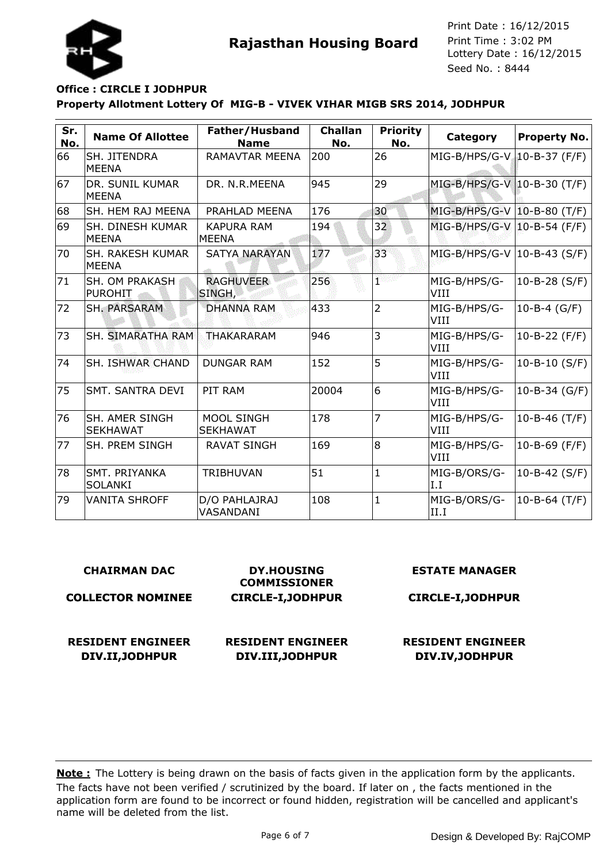

## **Property Allotment Lottery Of MIG-B - VIVEK VIHAR MIGB SRS 2014, JODHPUR Office : CIRCLE I JODHPUR**

| Sr.<br>No. | <b>Name Of Allottee</b>                  | Father/Husband<br><b>Name</b>        | <b>Challan</b><br>No. | <b>Priority</b><br>No. | Category                      | Property No.        |
|------------|------------------------------------------|--------------------------------------|-----------------------|------------------------|-------------------------------|---------------------|
| 66         | SH. JITENDRA<br><b>MEENA</b>             | RAMAVTAR MEENA                       | 200                   | 26                     | MIG-B/HPS/G-V 10-B-37 (F/F)   |                     |
| 67         | DR. SUNIL KUMAR<br><b>MEENA</b>          | DR. N.R.MEENA                        | 945                   | 29                     | MIG-B/HPS/G-V 10-B-30 (T/F)   |                     |
| 68         | SH. HEM RAJ MEENA                        | PRAHLAD MEENA                        | 176                   | 30                     | MIG-B/HPS/G-V   10-B-80 (T/F) |                     |
| 69         | <b>SH. DINESH KUMAR</b><br><b>MEENA</b>  | <b>KAPURA RAM</b><br><b>MEENA</b>    | 194                   | 32                     | MIG-B/HPS/G-V   10-B-54 (F/F) |                     |
| 70         | <b>SH. RAKESH KUMAR</b><br><b>MEENA</b>  | <b>SATYA NARAYAN</b>                 | 177                   | 33                     | $MIG-B/HPS/G-V$ 10-B-43 (S/F) |                     |
| 71         | <b>SH. OM PRAKASH</b><br><b>PUROHIT</b>  | <b>RAGHUVEER</b><br>SINGH,           | 256                   | ner                    | MIG-B/HPS/G-<br>VIII          | $10 - B - 28 (S/F)$ |
| 72         | SH. PARSARAM                             | <b>DHANNA RAM</b>                    | 433                   | $\overline{2}$         | MIG-B/HPS/G-<br>VIII          | 10-B-4 $(G/F)$      |
| 73         | <b>SH. SIMARATHA RAM</b>                 | THAKARARAM                           | 946                   | 3                      | MIG-B/HPS/G-<br>VIII          | 10-B-22 $(F/F)$     |
| 74         | <b>SH. ISHWAR CHAND</b>                  | <b>DUNGAR RAM</b>                    | 152                   | 5                      | MIG-B/HPS/G-<br>VIII          | $10 - B - 10$ (S/F) |
| 75         | ISMT. SANTRA DEVI                        | PIT RAM                              | 20004                 | 6                      | MIG-B/HPS/G-<br>VIII          | 10-B-34 $(G/F)$     |
| 76         | <b>SH. AMER SINGH</b><br><b>SEKHAWAT</b> | <b>MOOL SINGH</b><br><b>SEKHAWAT</b> | 178                   | 7                      | MIG-B/HPS/G-<br><b>VIII</b>   | 10-B-46 $(T/F)$     |
| 77         | SH. PREM SINGH                           | <b>RAVAT SINGH</b>                   | 169                   | 8                      | MIG-B/HPS/G-<br>VIII          | 10-B-69 $(F/F)$     |
| 78         | SMT. PRIYANKA<br><b>SOLANKI</b>          | <b>TRIBHUVAN</b>                     | 51                    | $\mathbf{1}$           | MIG-B/ORS/G-<br>I.I           | $10 - B - 42$ (S/F) |
| 79         | <b>VANITA SHROFF</b>                     | D/O PAHLAJRAJ<br>VASANDANI           | 108                   | $\mathbf{1}$           | MIG-B/ORS/G-<br>II.I          | $10 - B - 64$ (T/F) |

#### **CHAIRMAN DAC**

**COLLECTOR NOMINEE**

**DY.HOUSING COMMISSIONER CIRCLE-I,JODHPUR**

**RESIDENT ENGINEER**

**DIV.II,JODHPUR RESIDENT ENGINEER DIV.III,JODHPUR**

**CIRCLE-I,JODHPUR**

**ESTATE MANAGER**

#### **RESIDENT ENGINEER DIV.IV,JODHPUR**